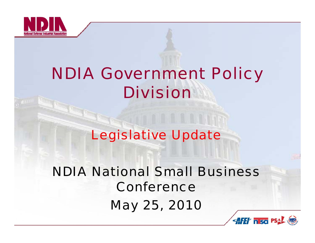

# *NDIA Government Policy Division*

## *Legislative Update*

*NDIA N ti l S ll B i ational Small BusinessConferenceMay 25, 2010*

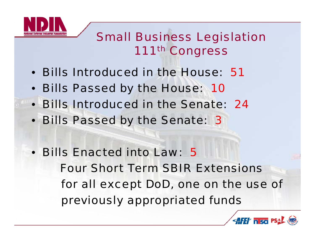

#### *Small Business Legislation 111th Congress*

- *Bills Introduced in the House: 51*
- *Bills Passed by the House: 10*
- $\bullet$ *Bills Introduced in the Senate: 24*
- *Bills Passed by the Senate: 3*
- *Bills Enacted into Law: 5Four Short Term SBIR Extensions for all except DoD, one on the use of* previously appropriated funds

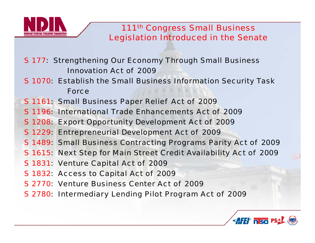

*S 177: Strengthening Our Economy Through Small Business Innovation Act of 2009*

- *S 1070: Establish the Small Business Information Security Task Force*
- *S 1161: Small Business Paper Relief Act of 2009*
- *S 1196: International Trade Enhancements Act of 2009*
- *S 1208: Export Opportunity Development Act of 2009*
- *S 1229: Entrepreneurial Development Act of 2009*
- *S 1489: Small Business Contracting Programs Parity Act of 2009*
- *S 1615: Next Step for Main Street Credit Availability Act of 2009*
- *S 1831: Venture Capital Act of 2009*
- *S 1832: Access to Capital Act of 2009*
- *S 2770: Venture Business Center Act of 2009*
- *S* 2780: Intermediary Lending Pilot Program Act of 2009

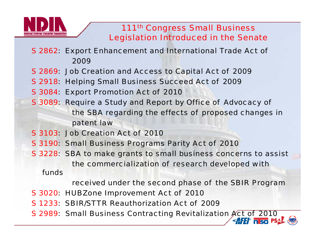

*S 2862: Export Enhancement and International Trade Act of 2009* 

- *S 2869: Job Creation and Access to Capital Act of 2009*
- *S 2918: Helping Small Business Succeed Act of 2009*
- *S 3084: Export Promotion Act of 2010*
- *S* 3089: Require a Study and Report by Office of Advocacy of *the SBA regarding the effects of proposed changes in patent law*
- *S 3103: Job Creation Act of 2010*
- *S 3190: Small Business Programs Parity Act of 2010*
- *S 3228: SBA to make grants to small business concerns to assist the commercialization of research developed with*

*funds*

*received under the second phase of the SBIR Program* 

- *S 3020: HUBZone Improvement Act of 2010*
- *S 1233: SBIR/STTR Reauthorization Act of 2009*
- *S 2989: Small Business Contracting Revitalization Act of 2010*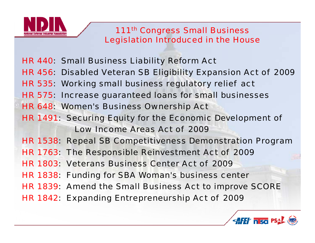

*HR 440: Small Business Liability Reform Act HR 456: Disabled Veteran SB Eligibility Expansion Act of 2009 HR 535: Working small business regulatory relief act HR 575: Increase guaranteed loans for small businesses HR 648: Women's Business Ownership Act HR 1491: Securing Equity for the Economic Development of Low Income Areas Act of 2009 HR 1538: Repeal SB Competitiveness Demonstration Program HR 1763: The Responsible Reinvestment Act of 2009 HR 1803: Veterans Business Center Act of 2009HR 1838: Funding for SBA Woman's business center HR 1839: Amend the Small Business Act to improve SCORE HR 1842: Expanding Entrepreneurship Act of 2009*

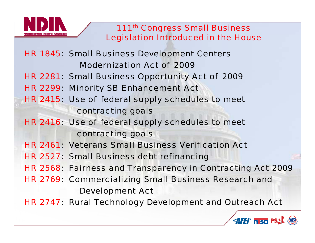

*HR 1845: Small Business Development Centers Modernization Act of 2009 HR 2281: Small Business Opportunity Act of 2009 HR 2299: Minority SB Enhancement Act HR 2415: Use of federal supply schedules to meet contracting goals HR 2416: Use of federal supply schedules to meet contracting goals HR 2461: Veterans Small Business Verification Act HR 2527: Small Business debt refinancing HR 2568: Fairness and Transparency in Contracting Act 2009 HR 2769: Commercializing Small Business Research and Development Act HR 2747: Rural Technology Development and Outreach Act*

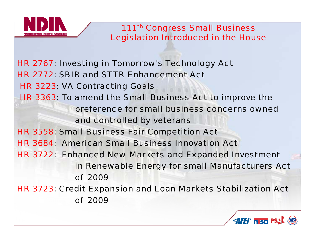

*HR 2767: Investing in Tomorrow's Technology Act HR 2772: SBIR and STTR Enhancement ActHR 3223: VA Contracting Goals HR 3363: To amend the Small Business Act to improve the pref f ll b i d ference for small business concerns owned and controlled by veterans HR 3558: Small Business Fair Competition Act HR 3684: American Small Business Innovation Act HR 3722: Enhanced New Markets and Expanded Investment in Renewable Energy for small Manufacturers Act of 2009 HR 3723: Credit Expansion and Loan Markets Stabilization Act of 2009*

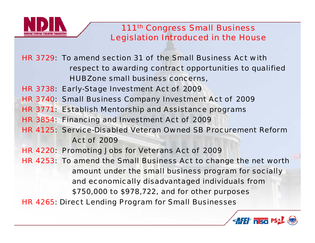

*HR 3729: To amend section 31 of the Small Business Act withrespect to awarding contract opportunities to qualified HUBZone small business concerns,*

*HR 3738: Early-Stage Investment Act of 2009*

- *HR 3740: Small Business Company Investment Act of 2009*
- *HR 3771: Establish Mentorship and Assistance programs*
- *HR 3854: Financing and Investment Act of 2009*
- *HR 4125: Service-Disabled Veteran Owned SB Procurement Reform Act of 2009*
- *HR 4220: Promoting Jobs for Veterans Act of 2009*
- *HR 4253: To amend the Small Business Act to change the net worth amount under the small business program for socially and economically disadvantaged individuals from \$750,000 to \$978,722, and for other purposes HR 4265: Direct Lending Program for Small Businesses*

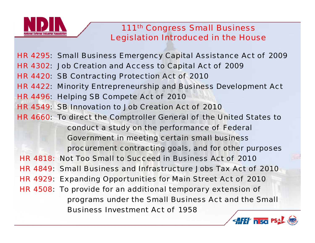

*HR 4295: Small Business Emergency Capital Assistance Act of 2009 HR 4302: Job Creation and Access to Capital Act of 2009 HR 4420: SB Contracting Protection Act of 2010 HR 4422: Minority Entrepreneurship and Business Development Act HR 4496: Helping SB Compete Act of 2010 HR 4549: SB Innovation to Job Creation Act of 2010 HR 4660: To direct the Comptroller General of the United States to conduct a study on the performance of Federal Government in meeting certain small business procurement contracting goals, and for other purposes HR 4818: Not Too Small to Succeed in Business Act of 2010***HR 4849: Small Business and Infrastructure Jobs Tax Act of 2010** *HR 4929: Expanding Opportunities for Main Street Act of 2010 HR 4508: To provide for an additional temporary extension of programs d th S ll B i A t d th S ll under the Small Business Act and the Small Business Investment Act of 1958*

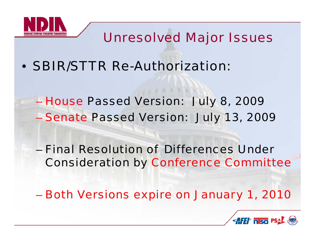

### *Unresolved Major Issues*

• *SBIR/STTR Re-Authorization:*

– *House Passed Version: Jul y , 8 200 9* – *Senate Passed Version: July 13, 2009*

– *Final Resolution of Differences Under*  **Consideration by Conference Committee** 

*Both Versions expire on January 1, 2010*

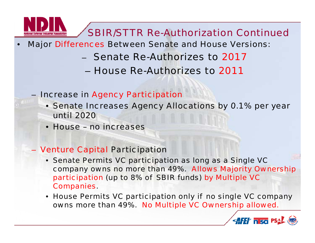

#### *SBIR/STTR Re-Authorization Continued*

- • *Major Differences Between Senate and House Versions:*
	- *Senate Re-Authorizes to 2017*
		- *House Re-Authorizes to 2011*
	- *Increase in Agency Participation*
		- *Senate Increases Agency Allocations by 0.1% per year until 2020*
		- *House – no increases*

#### *Venture Capital Participation*

- *Senate Permits VC participation as long as a Single VC*  company owns no more than 49%. Allows Majority Ownership *participation (up to 8% of SBIR funds) by Multiple VC Companies.*
- *House Permits VC participation only if no single VC company owns more than 49%. No Multiple VC Ownership allowed.*

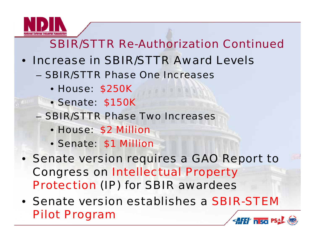

#### *SBIR/STTR Re-Authorization Continued*

- *Increase in SBIR/STTR Award Levels*
	- *SBIR/STTR Phase One Increases*
		- *House: \$250K*
		- *Senate: \$150K*
	- *SBIR/STTR Phase Two Increases*
		- *House: \$2 Million*
		- *Senate: \$1 Million*
- *Senate version requires a GAO Report to Congress on Intellectual Property Protection (IP) for SBIR awardees*
- *S t i t bli h Senate version establishes a SBIR-STEM Pilot Program* **AFET FISC PSAL (NB)**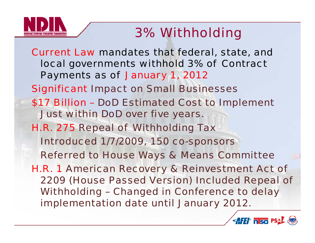

### *3% Withholding*

*Current Law mandates that federal, state, and local governments withhold 3% of Contract Payments as of January 1, 2012 Significant Impact on Small Businesses \$17 Billion – DoD Estimated Cost to Implement Just within DoD over five years. H.R. 275 Repeal of Withholding Tax Introduced 1/7/2009, 150 co-sponsors Referred to House Ways & Means Committee H R 1 H.R. American Recovery & Reinvestment Act of 2209 (House Passed Version) Included Repeal of Withholding – Changed in Conference to delay implementation date until January 2012.*

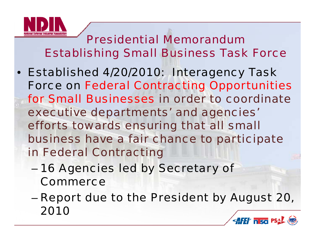

*Presidential MemorandumEstablishing Small Business Task Force*

- *Established 4/20/2010: Interagency Task Force on Federal Contracting Opportunities for Small Businesses in order to coordinateexecutive departments' and agencies' efforts towards ensuring that all small*  business have a fair chance to participate *in Federal Contracting*
	- *16 Agencies led by Secretary of Commerce*
	- *Report due to the President by August 20 20,* –*2010***AFET IT SO PSAL (WB)**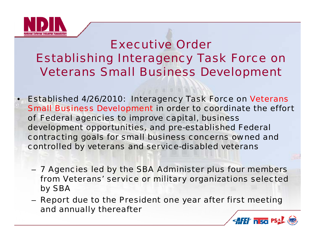

•

#### *Executive OrderEstablishing Interagency Task Force on Veterans Small Business Development*

 *Established 4/26/2010: Interagency Task Force on Veterans*  **Small Business Development in order to coordinate the effort** *of Federal agencies to improve capital, business development opportunities, and pre-established Federal contracting goals for small business concerns owned and controlled by veterans and service-disabled veterans*

- 7 Agencies led by the SBA Administer plus four members *from Veterans' service or military organizations selected by SBA*
- Report due to the President one year after first meeting *and annually thereafter*

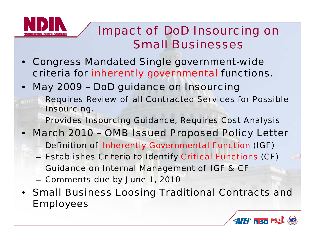

#### *Impact of DoD Insourcing on Small Businesses*

- • *Congress Mandated Single government-wide criteria for inherently governmental functions.*
- $\bullet$  *May 2009 – DoD guidance on Insourcing*
	- *Requires Review of all Contracted Services for Possible I i nsourcing.*
	- *Provides Insourcing Guidance, Requires Cost Analysis*
- • *March 2010 – OMB Issued Pro p y osed Polic y Letter*
	- *Definition of Inherently Governmental Function (IGF)*
	- *Establishes Criteria to Identify Critical Functions (CF)*
	- *Guidance on Internal Management of IGF & CF*
	- *Comments due by June 1, 2010*
- *Small Business Loosing Traditional Contracts and Employees*